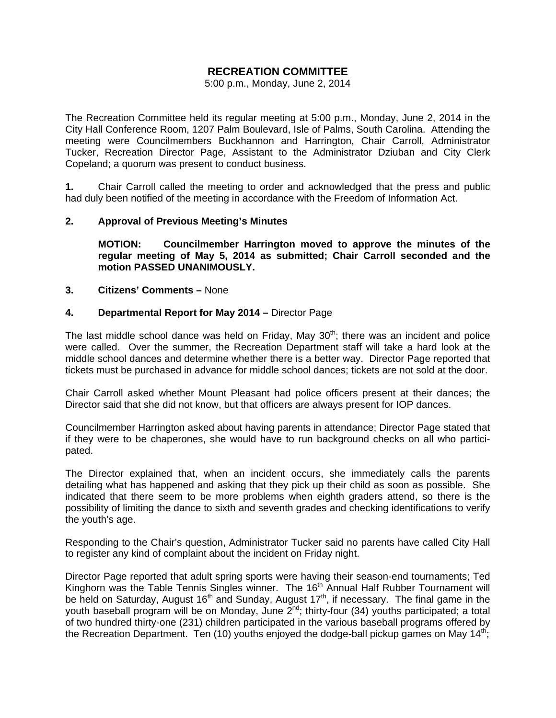# **RECREATION COMMITTEE**

5:00 p.m., Monday, June 2, 2014

The Recreation Committee held its regular meeting at 5:00 p.m., Monday, June 2, 2014 in the City Hall Conference Room, 1207 Palm Boulevard, Isle of Palms, South Carolina. Attending the meeting were Councilmembers Buckhannon and Harrington, Chair Carroll, Administrator Tucker, Recreation Director Page, Assistant to the Administrator Dziuban and City Clerk Copeland; a quorum was present to conduct business.

**1.** Chair Carroll called the meeting to order and acknowledged that the press and public had duly been notified of the meeting in accordance with the Freedom of Information Act.

#### **2. Approval of Previous Meeting's Minutes**

 **MOTION: Councilmember Harrington moved to approve the minutes of the regular meeting of May 5, 2014 as submitted; Chair Carroll seconded and the motion PASSED UNANIMOUSLY.** 

#### **3. Citizens' Comments –** None

#### **4. Departmental Report for May 2014 –** Director Page

The last middle school dance was held on Friday, May  $30<sup>th</sup>$ ; there was an incident and police were called. Over the summer, the Recreation Department staff will take a hard look at the middle school dances and determine whether there is a better way. Director Page reported that tickets must be purchased in advance for middle school dances; tickets are not sold at the door.

Chair Carroll asked whether Mount Pleasant had police officers present at their dances; the Director said that she did not know, but that officers are always present for IOP dances.

Councilmember Harrington asked about having parents in attendance; Director Page stated that if they were to be chaperones, she would have to run background checks on all who participated.

The Director explained that, when an incident occurs, she immediately calls the parents detailing what has happened and asking that they pick up their child as soon as possible. She indicated that there seem to be more problems when eighth graders attend, so there is the possibility of limiting the dance to sixth and seventh grades and checking identifications to verify the youth's age.

Responding to the Chair's question, Administrator Tucker said no parents have called City Hall to register any kind of complaint about the incident on Friday night.

Director Page reported that adult spring sports were having their season-end tournaments; Ted Kinghorn was the Table Tennis Singles winner. The 16<sup>th</sup> Annual Half Rubber Tournament will be held on Saturday, August 16<sup>th</sup> and Sunday, August 17<sup>th</sup>, if necessary. The final game in the youth baseball program will be on Monday, June 2nd; thirty-four (34) youths participated; a total of two hundred thirty-one (231) children participated in the various baseball programs offered by the Recreation Department. Ten (10) youths enjoyed the dodge-ball pickup games on May  $14<sup>th</sup>$ ;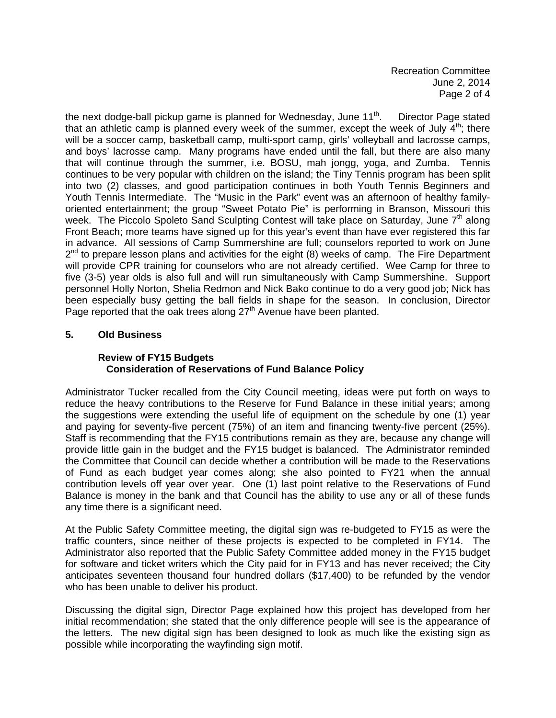the next dodge-ball pickup game is planned for Wednesday, June  $11<sup>th</sup>$ . Director Page stated that an athletic camp is planned every week of the summer, except the week of July  $4<sup>th</sup>$ ; there will be a soccer camp, basketball camp, multi-sport camp, girls' volleyball and lacrosse camps, and boys' lacrosse camp. Many programs have ended until the fall, but there are also many that will continue through the summer, i.e. BOSU, mah jongg, yoga, and Zumba. Tennis continues to be very popular with children on the island; the Tiny Tennis program has been split into two (2) classes, and good participation continues in both Youth Tennis Beginners and Youth Tennis Intermediate. The "Music in the Park" event was an afternoon of healthy familyoriented entertainment; the group "Sweet Potato Pie" is performing in Branson, Missouri this week. The Piccolo Spoleto Sand Sculpting Contest will take place on Saturday, June 7<sup>th</sup> along Front Beach; more teams have signed up for this year's event than have ever registered this far in advance. All sessions of Camp Summershine are full; counselors reported to work on June  $2^{nd}$  to prepare lesson plans and activities for the eight (8) weeks of camp. The Fire Department will provide CPR training for counselors who are not already certified. Wee Camp for three to five (3-5) year olds is also full and will run simultaneously with Camp Summershine. Support personnel Holly Norton, Shelia Redmon and Nick Bako continue to do a very good job; Nick has been especially busy getting the ball fields in shape for the season. In conclusion, Director Page reported that the oak trees along  $27<sup>th</sup>$  Avenue have been planted.

### **5. Old Business**

### **Review of FY15 Budgets Consideration of Reservations of Fund Balance Policy**

Administrator Tucker recalled from the City Council meeting, ideas were put forth on ways to reduce the heavy contributions to the Reserve for Fund Balance in these initial years; among the suggestions were extending the useful life of equipment on the schedule by one (1) year and paying for seventy-five percent (75%) of an item and financing twenty-five percent (25%). Staff is recommending that the FY15 contributions remain as they are, because any change will provide little gain in the budget and the FY15 budget is balanced. The Administrator reminded the Committee that Council can decide whether a contribution will be made to the Reservations of Fund as each budget year comes along; she also pointed to FY21 when the annual contribution levels off year over year. One (1) last point relative to the Reservations of Fund Balance is money in the bank and that Council has the ability to use any or all of these funds any time there is a significant need.

At the Public Safety Committee meeting, the digital sign was re-budgeted to FY15 as were the traffic counters, since neither of these projects is expected to be completed in FY14. The Administrator also reported that the Public Safety Committee added money in the FY15 budget for software and ticket writers which the City paid for in FY13 and has never received; the City anticipates seventeen thousand four hundred dollars (\$17,400) to be refunded by the vendor who has been unable to deliver his product.

Discussing the digital sign, Director Page explained how this project has developed from her initial recommendation; she stated that the only difference people will see is the appearance of the letters. The new digital sign has been designed to look as much like the existing sign as possible while incorporating the wayfinding sign motif.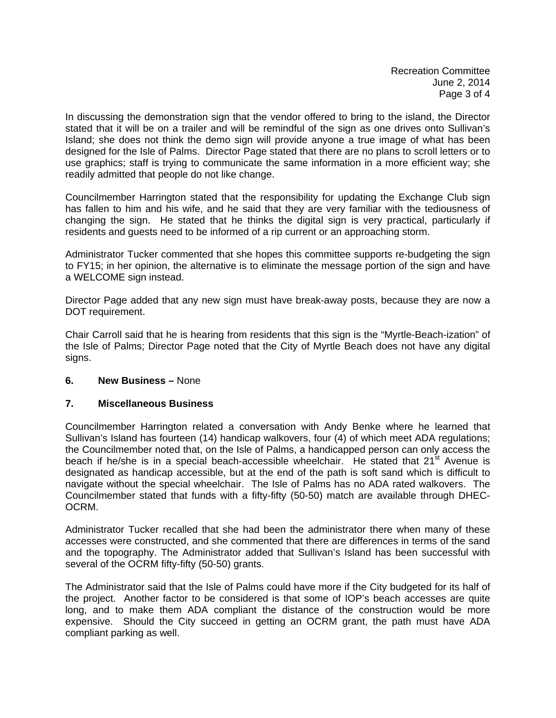Recreation Committee June 2, 2014 Page 3 of 4

In discussing the demonstration sign that the vendor offered to bring to the island, the Director stated that it will be on a trailer and will be remindful of the sign as one drives onto Sullivan's Island; she does not think the demo sign will provide anyone a true image of what has been designed for the Isle of Palms. Director Page stated that there are no plans to scroll letters or to use graphics; staff is trying to communicate the same information in a more efficient way; she readily admitted that people do not like change.

Councilmember Harrington stated that the responsibility for updating the Exchange Club sign has fallen to him and his wife, and he said that they are very familiar with the tediousness of changing the sign. He stated that he thinks the digital sign is very practical, particularly if residents and guests need to be informed of a rip current or an approaching storm.

Administrator Tucker commented that she hopes this committee supports re-budgeting the sign to FY15; in her opinion, the alternative is to eliminate the message portion of the sign and have a WELCOME sign instead.

Director Page added that any new sign must have break-away posts, because they are now a DOT requirement.

Chair Carroll said that he is hearing from residents that this sign is the "Myrtle-Beach-ization" of the Isle of Palms; Director Page noted that the City of Myrtle Beach does not have any digital signs.

### **6. New Business –** None

### **7. Miscellaneous Business**

Councilmember Harrington related a conversation with Andy Benke where he learned that Sullivan's Island has fourteen (14) handicap walkovers, four (4) of which meet ADA regulations; the Councilmember noted that, on the Isle of Palms, a handicapped person can only access the beach if he/she is in a special beach-accessible wheelchair. He stated that  $21<sup>st</sup>$  Avenue is designated as handicap accessible, but at the end of the path is soft sand which is difficult to navigate without the special wheelchair. The Isle of Palms has no ADA rated walkovers. The Councilmember stated that funds with a fifty-fifty (50-50) match are available through DHEC-OCRM.

Administrator Tucker recalled that she had been the administrator there when many of these accesses were constructed, and she commented that there are differences in terms of the sand and the topography. The Administrator added that Sullivan's Island has been successful with several of the OCRM fifty-fifty (50-50) grants.

The Administrator said that the Isle of Palms could have more if the City budgeted for its half of the project. Another factor to be considered is that some of IOP's beach accesses are quite long, and to make them ADA compliant the distance of the construction would be more expensive. Should the City succeed in getting an OCRM grant, the path must have ADA compliant parking as well.